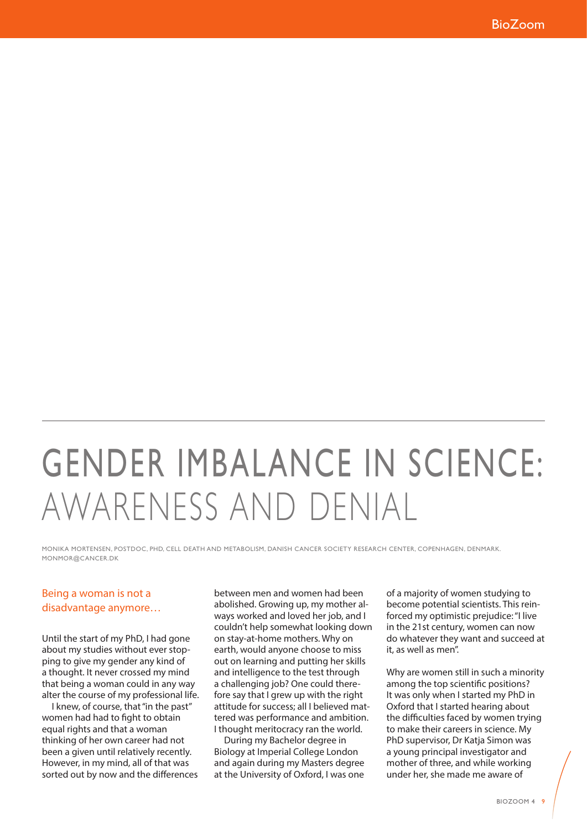## GENDER IMBALANCE IN SCIENCE: AWARENESS AND DENIAL

MONIKA MORTENSEN, POSTDOC, PHD, CELL DEATH AND METABOLISM, DANISH CANCER SOCIETY RESEARCH CENTER, COPENHAGEN, DENMARK. MONMOR@CANCER.DK

## Being a woman is not a disadvantage anymore…

Until the start of my PhD, I had gone about my studies without ever stopping to give my gender any kind of a thought. It never crossed my mind that being a woman could in any way alter the course of my professional life.

I knew, of course, that "in the past" women had had to fight to obtain equal rights and that a woman thinking of her own career had not been a given until relatively recently. However, in my mind, all of that was sorted out by now and the differences

between men and women had been abolished. Growing up, my mother always worked and loved her job, and I couldn't help somewhat looking down on stay-at-home mothers. Why on earth, would anyone choose to miss out on learning and putting her skills and intelligence to the test through a challenging job? One could therefore say that I grew up with the right attitude for success; all I believed mattered was performance and ambition. I thought meritocracy ran the world.

During my Bachelor degree in Biology at Imperial College London and again during my Masters degree at the University of Oxford, I was one

of a majority of women studying to become potential scientists. This reinforced my optimistic prejudice: "I live in the 21st century, women can now do whatever they want and succeed at it, as well as men".

Why are women still in such a minority among the top scientific positions? It was only when I started my PhD in Oxford that I started hearing about the difficulties faced by women trying to make their careers in science. My PhD supervisor, Dr Katia Simon was a young principal investigator and mother of three, and while working under her, she made me aware of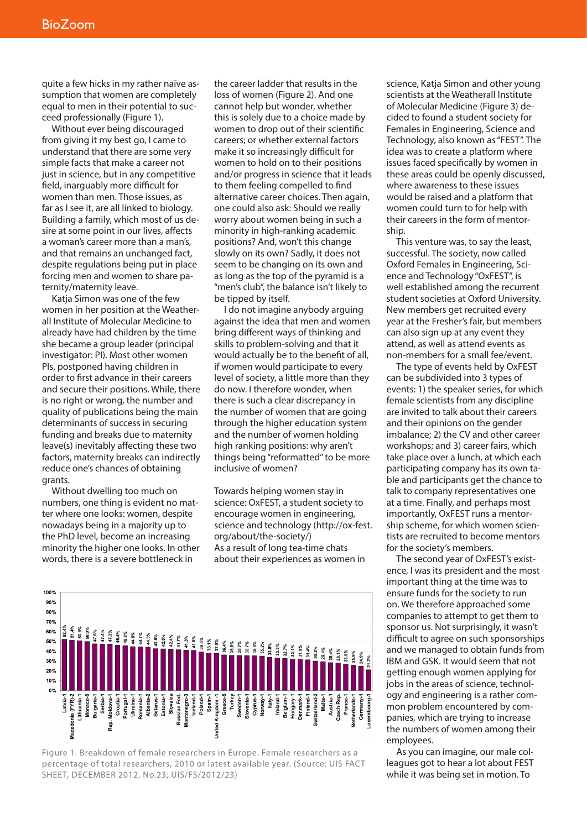quite a few hicks in my rather naïve assumption that women are completely equal to men in their potential to succeed professionally (Figure 1).

Without ever being discouraged from giving it my best go, I came to understand that there are some very simple facts that make a career not just in science, but in any competitive field, inarguably more difficult for women than men. Those issues, as far as I see it, are all linked to biology. Building a family, which most of us desire at some point in our lives, affects a woman's career more than a man's, and that remains an unchanged fact, despite regulations being put in place forcing men and women to share paternity/maternity leave.

Katia Simon was one of the few women in her position at the Weatherall Institute of Molecular Medicine to already have had children by the time she became a group leader (principal investigator: PI). Most other women PIs, postponed having children in order to first advance in their careers and secure their positions. While, there is no right or wrong, the number and quality of publications being the main determinants of success in securing funding and breaks due to maternity leave(s) inevitably affecting these two factors, maternity breaks can indirectly reduce one's chances of obtaining grants.

Without dwelling too much on numbers, one thing is evident no matter where one looks: women, despite nowadays being in a majority up to the PhD level, become an increasing minority the higher one looks. In other words, there is a severe bottleneck in

the career ladder that results in the loss of women (Figure 2). And one cannot help but wonder, whether this is solely due to a choice made by women to drop out of their scientific careers; or whether external factors make it so increasingly difficult for women to hold on to their positions and/or progress in science that it leads to them feeling compelled to find alternative career choices. Then again, one could also ask: Should we really worry about women being in such a minority in high-ranking academic positions? And, won't this change slowly on its own? Sadly, it does not seem to be changing on its own and as long as the top of the pyramid is a "men's club", the balance isn't likely to be tipped by itself.

I do not imagine anybody arguing against the idea that men and women bring different ways of thinking and skills to problem-solving and that it would actually be to the benefit of all, if women would participate to every level of society, a little more than they do now. I therefore wonder, when there is such a clear discrepancy in the number of women that are going through the higher education system and the number of women holding high ranking positions: why aren't things being "reformatted" to be more inclusive of women?

Towards helping women stay in science: OxFEST, a student society to encourage women in engineering, science and technology (http://ox-fest. org/about/the-society/) As a result of long tea-time chats about their experiences as women in



Figure 1. Breakdown of female researchers in Europe. Female researchers as a percentage of total researchers, 2010 or latest available year. (Source: UIS FACT SHEET, DECEMBER 2012, No.23; UIS/FS/2012/23)

science, Katja Simon and other young scientists at the Weatherall Institute of Molecular Medicine (Figure 3) decided to found a student society for Females in Engineering, Science and Technology, also known as "FEST". The idea was to create a platform where issues faced specifically by women in these areas could be openly discussed, where awareness to these issues would be raised and a platform that women could turn to for help with their careers in the form of mentorship.

This venture was, to say the least, successful. The society, now called Oxford Females in Engineering, Science and Technology "OxFEST", is well established among the recurrent student societies at Oxford University. New members get recruited every year at the Fresher's fair, but members can also sign up at any event they attend, as well as attend events as non-members for a small fee/event.

The type of events held by OxFEST can be subdivided into 3 types of events: 1) the speaker series, for which female scientists from any discipline are invited to talk about their careers and their opinions on the gender imbalance; 2) the CV and other career workshops; and 3) career fairs, which take place over a lunch, at which each participating company has its own table and participants get the chance to talk to company representatives one at a time. Finally, and perhaps most importantly, OxFEST runs a mentorship scheme, for which women scientists are recruited to become mentors for the society's members.

The second year of OxFEST's existence, I was its president and the most important thing at the time was to ensure funds for the society to run on. We therefore approached some companies to attempt to get them to sponsor us. Not surprisingly, it wasn't difficult to agree on such sponsorships and we managed to obtain funds from IBM and GSK. It would seem that not getting enough women applying for jobs in the areas of science, technology and engineering is a rather common problem encountered by companies, which are trying to increase the numbers of women among their employees.

As you can imagine, our male colleagues got to hear a lot about FEST while it was being set in motion. To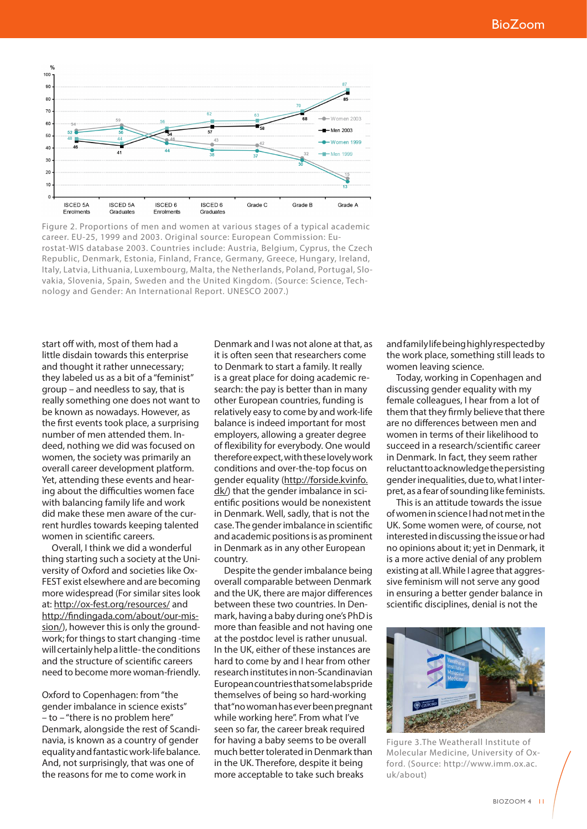

Figure 2. Proportions of men and women at various stages of a typical academic career. EU-25, 1999 and 2003. Original source: European Commission: Eurostat-WIS database 2003. Countries include: Austria, Belgium, Cyprus, the Czech Republic, Denmark, Estonia, Finland, France, Germany, Greece, Hungary, Ireland, Italy, Latvia, Lithuania, Luxembourg, Malta, the Netherlands, Poland, Portugal, Slovakia, Slovenia, Spain, Sweden and the United Kingdom. (Source: Science, Technology and Gender: An International Report. UNESCO 2007.)

start off with, most of them had a little disdain towards this enterprise and thought it rather unnecessary; they labeled us as a bit of a "feminist" group – and needless to say, that is really something one does not want to be known as nowadays. However, as the first events took place, a surprising number of men attended them. Indeed, nothing we did was focused on women, the society was primarily an overall career development platform. Yet, attending these events and hearing about the difficulties women face with balancing family life and work did make these men aware of the current hurdles towards keeping talented women in scientific careers.

Overall, I think we did a wonderful thing starting such a society at the University of Oxford and societies like Ox-FEST exist elsewhere and are becoming more widespread (For similar sites look at: http://ox-fest.org/resources/ and http://findingada.com/about/our-mission/), however this is only the groundwork; for things to start changing -time will certainly help a little- the conditions and the structure of scientific careers need to become more woman-friendly.

Oxford to Copenhagen: from "the gender imbalance in science exists" – to – "there is no problem here" Denmark, alongside the rest of Scandinavia, is known as a country of gender equality and fantastic work-life balance. And, not surprisingly, that was one of the reasons for me to come work in

Denmark and I was not alone at that, as it is often seen that researchers come to Denmark to start a family. It really is a great place for doing academic research: the pay is better than in many other European countries, funding is relatively easy to come by and work-life balance is indeed important for most employers, allowing a greater degree of flexibility for everybody. One would therefore expect, with these lovely work conditions and over-the-top focus on gender equality (http://forside.kvinfo. dk/) that the gender imbalance in scientific positions would be nonexistent in Denmark. Well, sadly, that is not the case. The gender imbalance in scientific and academic positions is as prominent in Denmark as in any other European country.

Despite the gender imbalance being overall comparable between Denmark and the UK, there are major differences between these two countries. In Denmark, having a baby during one's PhD is more than feasible and not having one at the postdoc level is rather unusual. In the UK, either of these instances are hard to come by and I hear from other research institutes in non-Scandinavian European countries that some labs pride themselves of being so hard-working that "no woman has ever been pregnant while working here". From what I've seen so far, the career break required for having a baby seems to be overall much better tolerated in Denmark than in the UK. Therefore, despite it being more acceptable to take such breaks

and family life being highly respected by the work place, something still leads to women leaving science.

Today, working in Copenhagen and discussing gender equality with my female colleagues, I hear from a lot of them that they firmly believe that there are no differences between men and women in terms of their likelihood to succeed in a research/scientific career in Denmark. In fact, they seem rather reluctant to acknowledge the persisting gender inequalities, due to, what I interpret, as a fear of sounding like feminists.

This is an attitude towards the issue of women in science I had not met in the UK. Some women were, of course, not interested in discussing the issue or had no opinions about it; yet in Denmark, it is a more active denial of any problem existing at all. While I agree that aggressive feminism will not serve any good in ensuring a better gender balance in scientific disciplines, denial is not the



Figure 3.The Weatherall Institute of Molecular Medicine, University of Oxford. (Source: http://www.imm.ox.ac. uk/about)